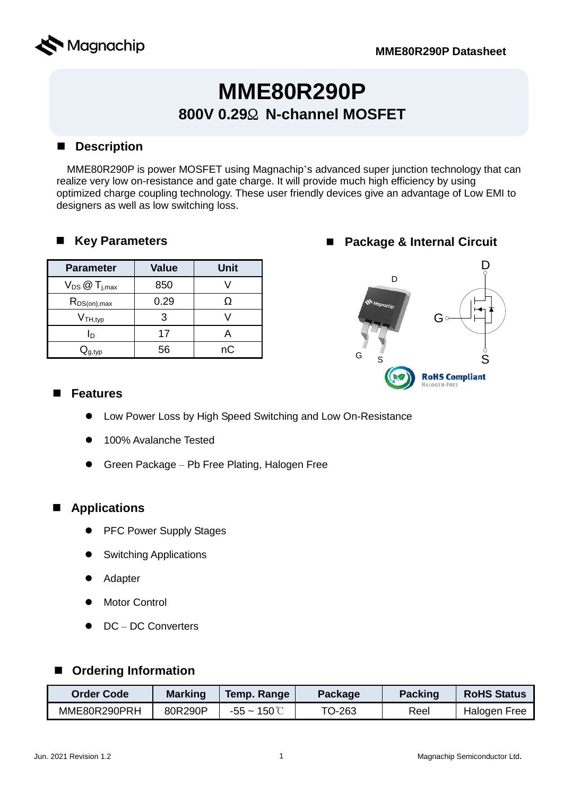

# **MME80R290P 800V 0.29**Ω **N-channel MOSFET**

### ■ Description

MME80R290P is power MOSFET using Magnachip's advanced super junction technology that can realize very low on-resistance and gate charge. It will provide much high efficiency by using optimized charge coupling technology. These user friendly devices give an advantage of Low EMI to designers as well as low switching loss.

### **Key Parameters**

| <b>Parameter</b>         | <b>Value</b> | <b>Unit</b> |
|--------------------------|--------------|-------------|
| $V_{DS}$ $@$ $T_{j,max}$ | 850          |             |
| $R_{DS(on),max}$         | 0.29         | O           |
| $V$ TH,typ               | 3            |             |
| In                       | 17           | А           |
|                          | 56           | nC          |





### **Features**

- Low Power Loss by High Speed Switching and Low On-Resistance
- 100% Avalanche Tested
- Green Package Pb Free Plating, Halogen Free

### **Applications**

- PFC Power Supply Stages
- Switching Applications
- Adapter
- Motor Control
- DC DC Converters

### **Ordering Information**

| Order Code   | <b>Marking</b> | Temp. Range | Package | <b>Packing</b> | <b>RoHS Status</b> |
|--------------|----------------|-------------|---------|----------------|--------------------|
| MME80R290PRH | 80R290P        |             | TO-263  | Reel           | Halogen Free       |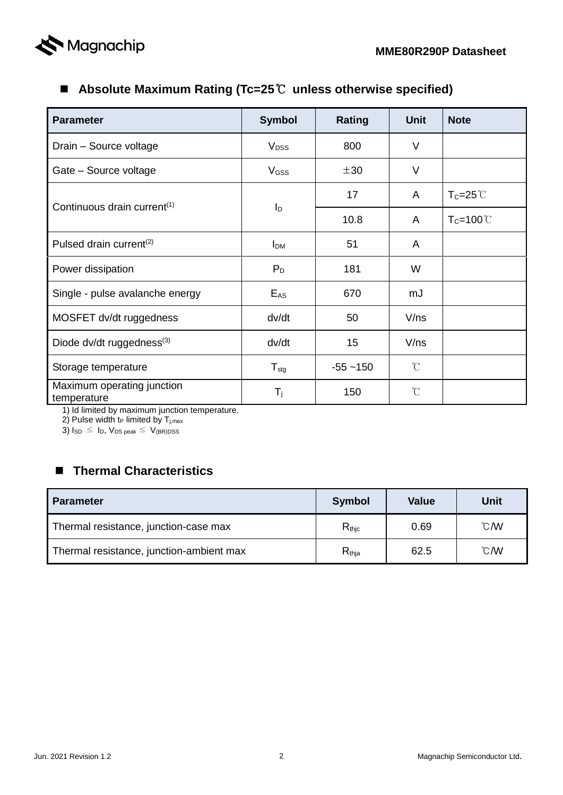

### **Absolute Maximum Rating (Tc=25**℃ **unless otherwise specified)**

| <b>Parameter</b>                          | <b>Symbol</b>           | Rating      | <b>Unit</b>         | <b>Note</b>         |
|-------------------------------------------|-------------------------|-------------|---------------------|---------------------|
| Drain - Source voltage                    | <b>V</b> <sub>pss</sub> | 800         | $\vee$              |                     |
| Gate - Source voltage                     | V <sub>GSS</sub>        | ±30         | $\vee$              |                     |
|                                           |                         | 17          | A                   | $T_c = 25^\circ C$  |
| Continuous drain current <sup>(1)</sup>   | Iр                      | 10.8        | A                   | $T_c = 100^{\circ}$ |
| Pulsed drain current <sup>(2)</sup>       | <b>I</b> <sub>DM</sub>  | 51          | A                   |                     |
| Power dissipation                         | $P_D$                   | 181         | W                   |                     |
| Single - pulse avalanche energy           | $E_{AS}$                | 670         | mJ                  |                     |
| MOSFET dv/dt ruggedness                   | dv/dt                   | 50          | V/ns                |                     |
| Diode dv/dt ruggedness(3)                 | dv/dt                   | 15          | V/ns                |                     |
| Storage temperature                       | $T_{\text{stg}}$        | $-55 - 150$ | $\hat{\mathcal{C}}$ |                     |
| Maximum operating junction<br>temperature | T <sub>i</sub>          | 150         | $\hat{\mathcal{C}}$ |                     |

1) Id limited by maximum junction temperature.

2) Pulse width tp limited by  $T_{j, max}$ 

3)  $\text{IsD} \leq \text{ID}$ ,  $\text{VDS peak} \leq \text{V(BR)DSS}$ 

### ■ Thermal Characteristics

| <b>Parameter</b>                         | <b>Symbol</b>       | <b>Value</b> | <b>Unit</b>    |
|------------------------------------------|---------------------|--------------|----------------|
| Thermal resistance, junction-case max    | $R_{\mathsf{thic}}$ | 0.69         | $^{\circ}$ CMV |
| Thermal resistance, junction-ambient max | R <sub>thia</sub>   | 62.5         | $^{\circ}$ CMV |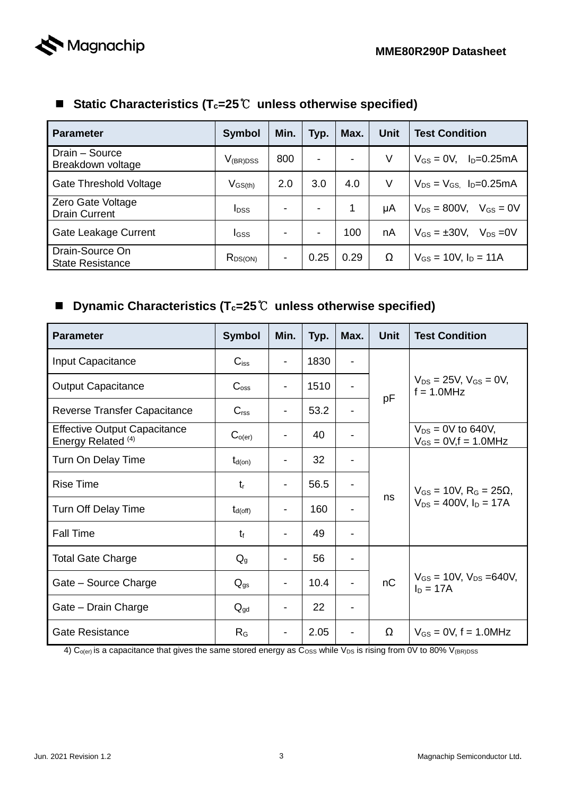

| <b>Parameter</b>                           | <b>Symbol</b>           | Min. | Typ. | Max.                     | <b>Unit</b> | <b>Test Condition</b>              |
|--------------------------------------------|-------------------------|------|------|--------------------------|-------------|------------------------------------|
| Drain - Source<br>Breakdown voltage        | $V_{(BR)DSS}$           | 800  | -    | $\overline{\phantom{a}}$ | V           | $V_{GS} = 0V$ , $I_D = 0.25mA$     |
| Gate Threshold Voltage                     | $V_{GS(th)}$            | 2.0  | 3.0  | 4.0                      | V           | $V_{DS} = V_{GS}$ , $I_D = 0.25mA$ |
| Zero Gate Voltage<br><b>Drain Current</b>  | <b>I</b> <sub>DSS</sub> |      |      | 1                        | μA          | $V_{DS} = 800V$ , $V_{GS} = 0V$    |
| Gate Leakage Current                       | <b>I</b> GSS            |      |      | 100                      | nA          | $V_{GS} = \pm 30V$ , $V_{DS} = 0V$ |
| Drain-Source On<br><b>State Resistance</b> | $R_{DS(ON)}$            |      | 0.25 | 0.29                     | Ω           | $V_{GS} = 10V$ , $I_D = 11A$       |

### **Static Characteristics (Tc=25**℃ **unless otherwise specified)**

# **Dynamic Characteristics (Tc=25**℃ **unless otherwise specified)**

| <b>Parameter</b>                                                     | <b>Symbol</b>    | Min. | Typ. | Max. | <b>Unit</b> | <b>Test Condition</b>                                                            |
|----------------------------------------------------------------------|------------------|------|------|------|-------------|----------------------------------------------------------------------------------|
| Input Capacitance                                                    | $C_{iss}$        |      | 1830 |      | pF          | $V_{DS} = 25V$ , $V_{GS} = 0V$ ,<br>$f = 1.0$ MHz                                |
| <b>Output Capacitance</b>                                            | C <sub>oss</sub> |      | 1510 | -    |             |                                                                                  |
| <b>Reverse Transfer Capacitance</b>                                  | C <sub>rss</sub> |      | 53.2 | -    |             |                                                                                  |
| <b>Effective Output Capacitance</b><br>Energy Related <sup>(4)</sup> | $C_{o(er)}$      |      | 40   |      |             | $V_{DS}$ = 0V to 640V,<br>$V_{GS} = 0V$ , f = 1.0MHz                             |
| Turn On Delay Time                                                   | $t_{d(on)}$      |      | 32   |      | ns          | $V_{GS} = 10V$ , R <sub>G</sub> = 25 $\Omega$ ,<br>$V_{DS} = 400V$ , $I_D = 17A$ |
| <b>Rise Time</b>                                                     | $t_{\rm r}$      |      | 56.5 |      |             |                                                                                  |
| <b>Turn Off Delay Time</b>                                           | $t_{d(off)}$     |      | 160  | -    |             |                                                                                  |
| <b>Fall Time</b>                                                     | $t_{\rm f}$      |      | 49   |      |             |                                                                                  |
| <b>Total Gate Charge</b>                                             | $Q_{q}$          |      | 56   | -    |             |                                                                                  |
| Gate - Source Charge                                                 | $Q_{gs}$         |      | 10.4 | -    | nC          | $V_{GS} = 10V$ , $V_{DS} = 640V$ ,<br>$I_D = 17A$                                |
| Gate - Drain Charge                                                  | $Q_{\text{gd}}$  |      | 22   |      |             |                                                                                  |
| Gate Resistance                                                      | R <sub>G</sub>   |      | 2.05 |      | Ω           | $V_{GS} = 0V$ , f = 1.0MHz                                                       |

4)  $C_{O(er)}$  is a capacitance that gives the same stored energy as  $C_{\text{OSS}}$  while V<sub>DS</sub> is rising from 0V to 80% V<sub>(BR)DSS</sub>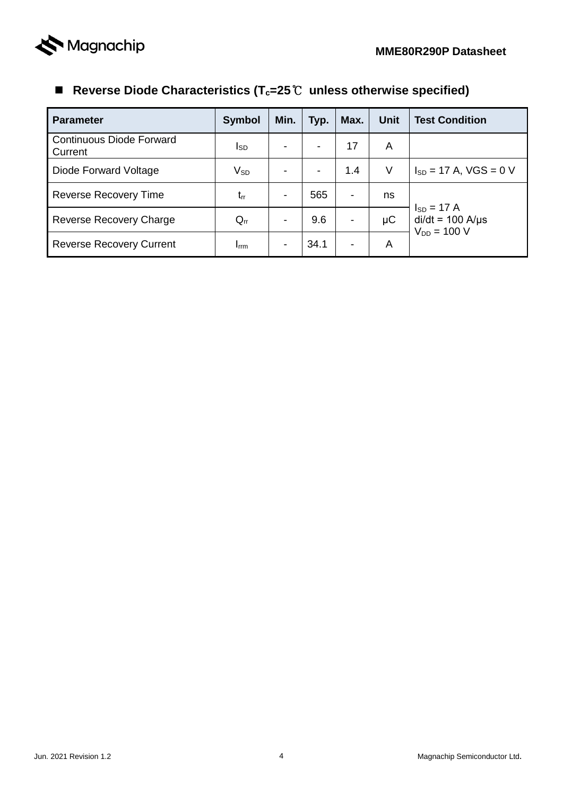

# **Reverse Diode Characteristics (Tc=25**℃ **unless otherwise specified)**

| <b>Parameter</b>                           | <b>Symbol</b>              | Min. | Typ. | Max.                     | <b>Unit</b> | <b>Test Condition</b>                                           |
|--------------------------------------------|----------------------------|------|------|--------------------------|-------------|-----------------------------------------------------------------|
| <b>Continuous Diode Forward</b><br>Current | <b>I</b> sp                |      |      | 17                       | A           |                                                                 |
| Diode Forward Voltage                      | $\mathsf{V}_{\mathsf{SD}}$ |      |      | 1.4                      | V           | $I_{SD} = 17$ A, VGS = 0 V                                      |
| <b>Reverse Recovery Time</b>               | $t_{rr}$                   |      | 565  | ۰                        | ns          |                                                                 |
| <b>Reverse Recovery Charge</b>             | $Q_{rr}$                   |      | 9.6  | $\overline{\phantom{a}}$ | μC          | $I_{SD} = 17 A$<br>$di/dt = 100$ A/ $\mu$ s<br>$V_{DD} = 100 V$ |
| <b>Reverse Recovery Current</b>            | $I$ <sub>rrm</sub>         |      | 34.1 | ۰                        | A           |                                                                 |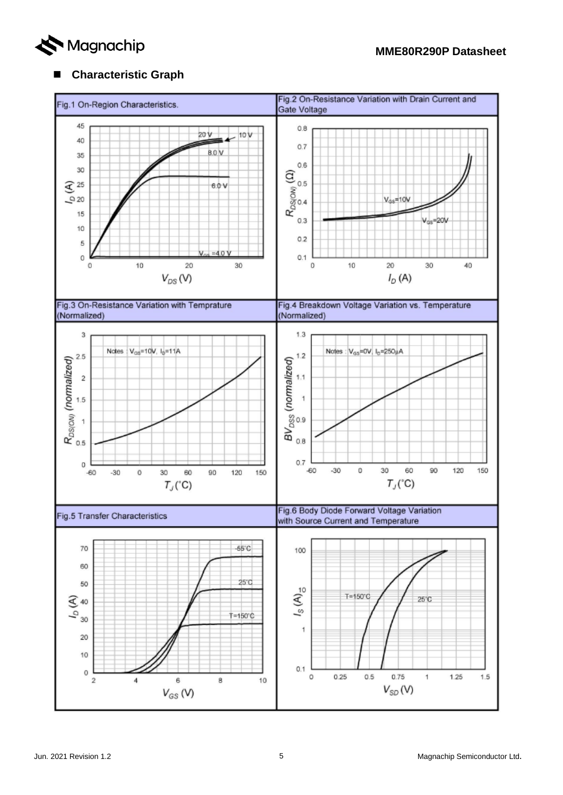

### **Characteristic Graph**

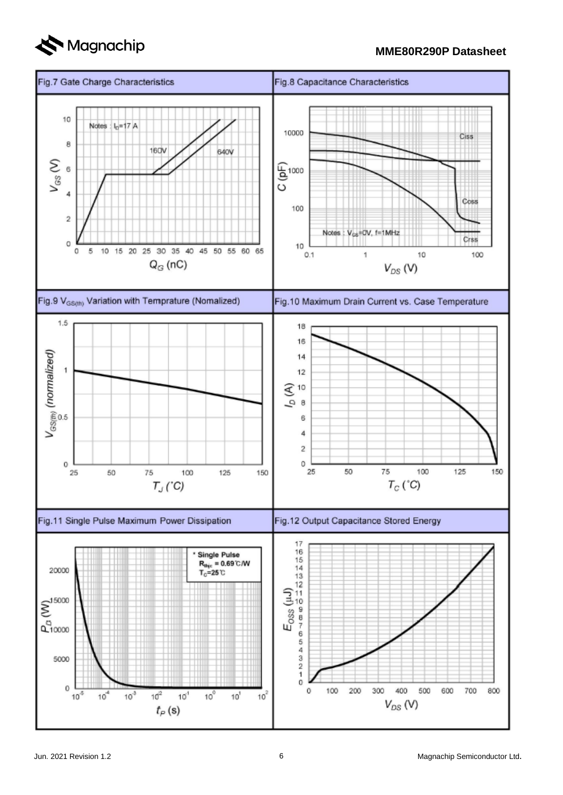

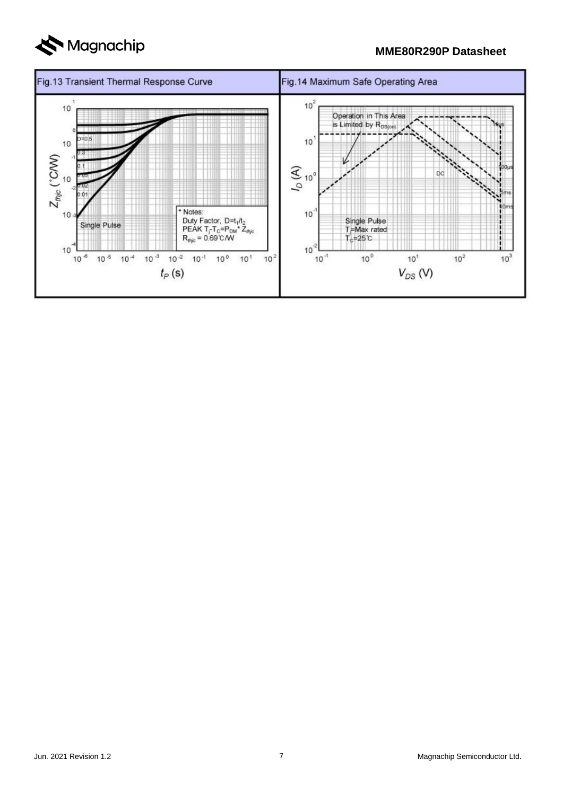

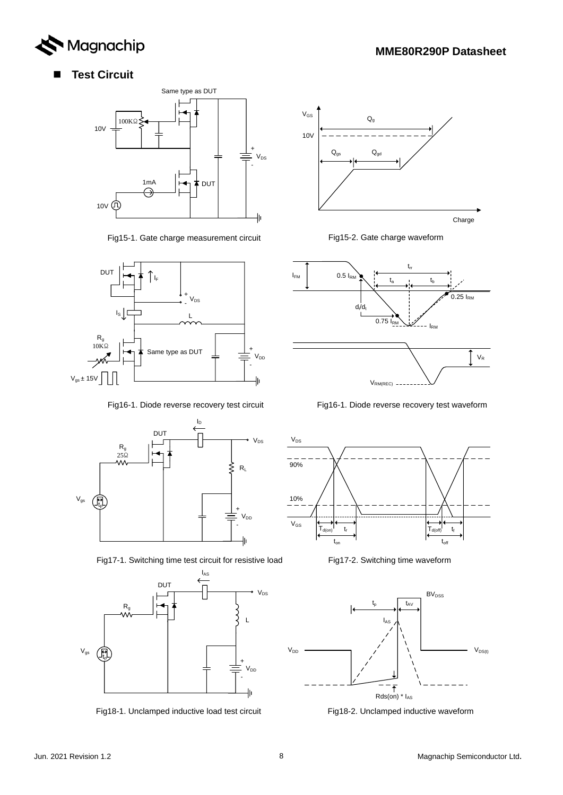

#### **Test Circuit**



Fig15-1. Gate charge measurement circuit Fig15-2. Gate charge waveform





Fig17-1. Switching time test circuit for resistive load Fig17-2. Switching time waveform



Fig18-1. Unclamped inductive load test circuit Fig18-2. Unclamped inductive waveform





Fig16-1. Diode reverse recovery test circuit Fig16-1. Diode reverse recovery test waveform



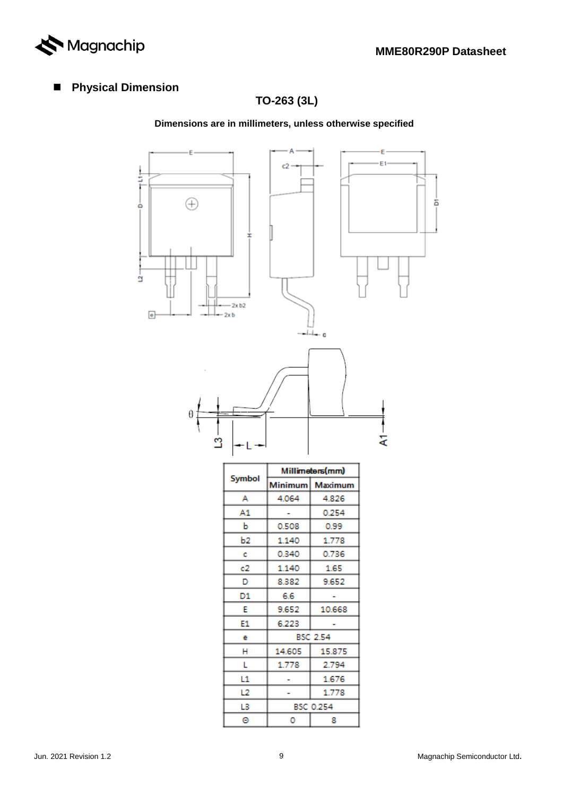

### **Physical Dimension**

 $\frac{1}{1}$ 

ė

à

### **TO-263 (3L)**

#### **Dimensions are in millimeters, unless otherwise specified**



|        | Millimeters(mm) |          |  |  |  |  |
|--------|-----------------|----------|--|--|--|--|
| Symbol | Minimum I       | Maximum  |  |  |  |  |
| А      | 4.064           | 4.826    |  |  |  |  |
| Α1     |                 | 0.254    |  |  |  |  |
| ь      | 0.508           | 0.99     |  |  |  |  |
| Ь2     | 1.140           | 1.778    |  |  |  |  |
| c      | 0.340           | 0.736    |  |  |  |  |
| c2     | 1.140           | 1.65     |  |  |  |  |
| D      | 8.382           | 9.652    |  |  |  |  |
| D1     | 6.6             |          |  |  |  |  |
| Е      | 9.652           | 10.668   |  |  |  |  |
| E1     | 6.223           |          |  |  |  |  |
| е      |                 | BSC 2.54 |  |  |  |  |
| н      | 14.605          | 15.875   |  |  |  |  |
| L      | 1.778           | 2.794    |  |  |  |  |
| L1     |                 | 1.676    |  |  |  |  |
| L2     |                 | 1.778    |  |  |  |  |
| LЗ     | BSC 0.254       |          |  |  |  |  |
| Θ      | ٥               | 8        |  |  |  |  |